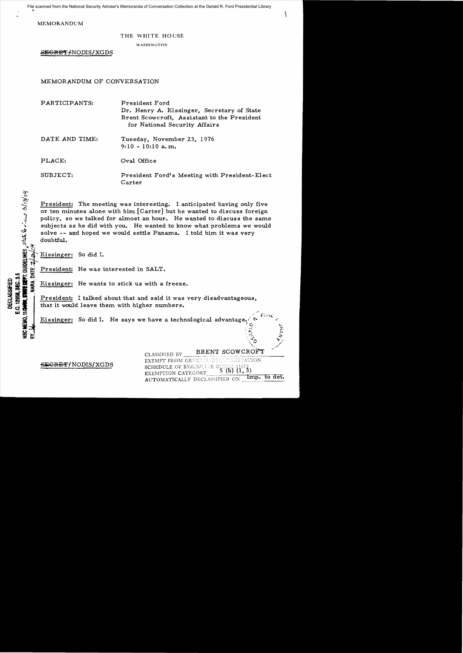File scanned from the National Security Adviser's Memoranda of Conversation Collection at the Gerald R. Ford Presidential Library

 $\mathcal{L}$ 

MEMORANDUM

#### THE WHITE HOUSE

WASHINGTON

SEGRET-MODIS/XGDS

# MEMORANDUM OF CONVERSATION

| PARTICIPANTS:  | President Ford                                          |
|----------------|---------------------------------------------------------|
|                | Dr. Henry A. Kissinger, Secretary of State              |
|                | Brent Scowcroft, Assistant to the President             |
|                | for National Security Affairs                           |
| DATE AND TIME: | Tuesday, November 23, 1976                              |
|                | $9:10 - 10:10$ a.m.                                     |
| PLACE:         | Oval Office                                             |
|                |                                                         |
| SUBJECT:       | President Ford's Meeting with President-Elect<br>Carter |

President: The meeting was interesting. I anticipated having only five or ten minutes alone with him [Carter] but he wanted to discuss foreign policy, so we talked for almost an hour. He wanted to discuss the same President: The meeting was interesting. I anticipated having only five<br>
or ten minutes alone with him [Carter] but he wanted to discuss foreign<br>
policy, so we talked for almost an hour. He wanted to discuss the same<br>
subje solve -- and hoped we would settle Panama. I told him it was very ~ doubtful.

Kissinger: So did I.

**11/2499, \$1** 

~ <u>ই ই</u>

**President:** He was interested in SALT.

S. THE CONSIDERED EXISSING THE WARTS OF THE WARD OF THE WARD OF THE SAME CONSIDERED TO THE CONSIDERED TO THE CONSIDERED TO THE CONSIDERED TO THE CONSIDERED TO THE CONSIDERATION OF THE CONSIDERATION OF THE CONSIDERATION OF President: I talked about that and said it was very disadvantageous, that it would leave them with higher numbers.

Kissinger: So did I. He says we have a technological advantage.

SEGRET/NODIS/XGDS

BRENT SCOWCROFT CLASSIFIED BY EXEMPT FROM GENERAL DECLASSINGATION SCHEDULE OF EXECUTIVE ORDER 1165<br>EXEMPTION CATEGORY 5 (b)  $(1, 0, 1)$  $^{652}_{1.3)}$ EXEMPTION CATEGORY Imp. to det. AUTOMATICALLY DECLASSIFIED ON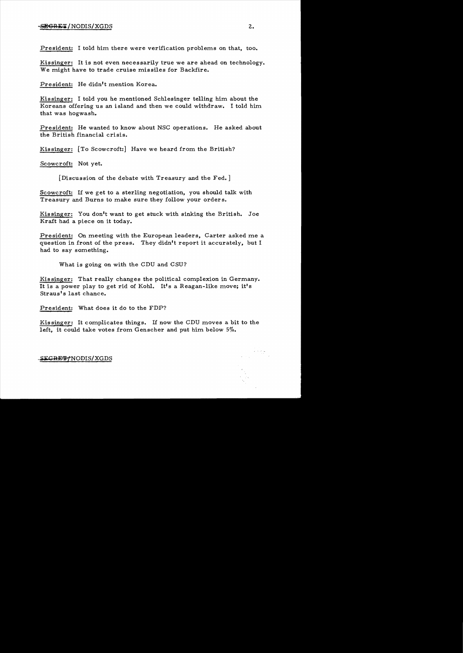# $-SEGRE T/ NODIS/XGDS$  2.

President: I told him there were verification problems on that, too.

Kissinger: It is not even necessarily true we are ahead on technology. We might have to trade cruise missiles for Backfire.

President: He didn't mention Korea.

Kissinger: I told you he mentioned Schlesinger telling him about the Koreans offering us an island and then we could withdraw. I told him that was hogwash.

President: He wanted to know about NSC operations. He asked about the British financial crisis.

Kissinger: [To Scowcroft:] Have we heard from the British?

Scowcroft: Not yet.

[Discussion of the debate with Treasury and the Fed. ]

Scowcroft: If we get to a sterling negotiation, you should talk with Treasury and Burns to make sure they follow your orders.

Kissinger: You don't want to get stuck with sinking the British. Joe Kraft had a piece on it today.

President: On meeting with the European leaders, Carter asked me a question in front of the press. They didn't report it accurately, but I had to say something.

What is going on with the CDU and CSU?

Kissinger: That really changes the political complexion in Germany. It is a power play to get rid of Kohl. It's a Reagan-like move; it's Straus<sup>t</sup>s last chance.

President: What does it do to the FDP?

Kissinger: It complicates things. If now the CDU moves a bit to the left, it could take votes from Genscher and put him below 5%.

SEGRETTNODIS/XGDS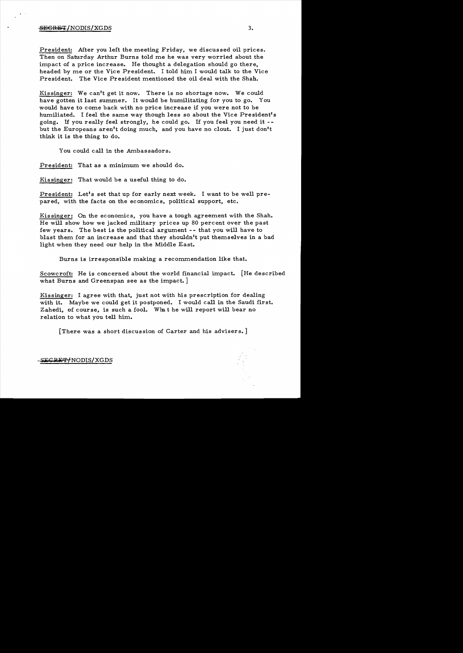## $\overline{\text{SEGRBT}}/ \text{NODIS}/ \text{XGDS}$  3.

President: After you left the meeting Friday, we discussed oil prices. Then on Saturday Arthur Burns told me he was very worried about the impact of a price increase. He thought a delegation should go there, headed by me or the Vice President. I told him I would talk to the Vice President. The Vice President mentioned the oil deal with the Shah.

Kissinger: We can't get it now. There is no shortage now. We could have gotten it last summer. It would be humilitating for you to go. You would have to come back with no price increase if you were not to be humiliated. I feel the same way though less so about the Vice President's going. If you really feel strongly, he could go. If you feel you need it but the Europeans aren't doing much, and you have no clout. I just don't think it is the thing to do.

You could call in the Ambassadors.

President: That as a minimum we should do.

Kissinger: That would be a useful thing to do.

President: Let's set that up for early next week. I want to be well prepared, with the facts on the economics, political support, etc.

Kissinger: On the economics, you have a tough agreement with the Shah. He will show how we jacked military prices up 80 percent over the past few years. The best is the political argument - - that you will have to blast them for an increase and that they shouldn't put themselves in a bad light when they need our help in the Middle East.

Burns is irresponsible making a recommendation like that.

Scowcroft: He is concerned about the world financial impact. [He described what Burns and Greenspan see as the impact. ]

Kissinger: I agree with that, just not with his prescription for dealing with it. Maybe we could get it postponed. I would call in the Saudi first. Zahedi, of course, is such a fool. What he will report will bear no relation to what you tell him.

[There was a short discussion of Carter and his advisers.]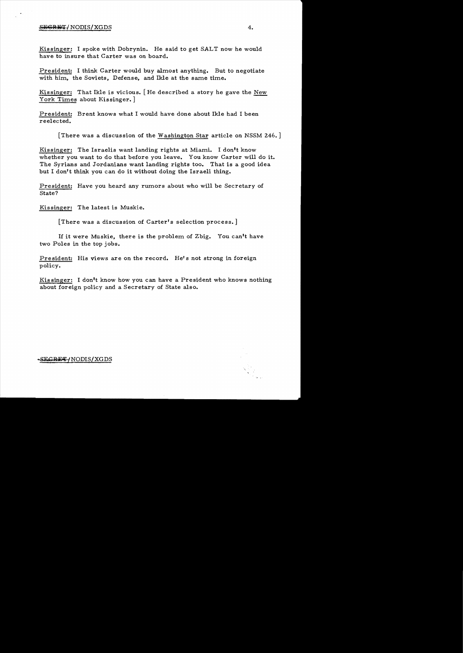## SEGRET/NODIS/XGDS 4.

Kissinger: I spoke with Dobrynin. He said to get SALT now he would have to insure that Carter was on board.

President: I think Carter would buy almost anything. But to negotiate with him, the Soviets, Defense, and Ikle at the same time.

Kissinger: That Ikle is vicious. [He described a story he gave the New York Times about Kissinger.

President: Brent knows what I would have done about Ikle had I been reelected.

[There was a discussion of the Washington Star article on NSSM 246.]

Kissinger: The Israelis want landing rights at Miami. I don't know whether you want to do that before you leave. You know Carter will do it. The Syrians and Jordanians want landing rights too. That is a good idea but I don't think you can do it without doing the Israeli thing.

President: Have you heard any rumors about who will be Secretary of State?

Kissinger: The latest is Muskie.

[There was a discussion of Carter's selection process. ]

If it were Muskie, there is the problem of Zbig. You can't have two Poles in the top jobs.

President: His views are on the record. He's not strong in foreign policy.

Kissinger: I don't know how you can have a President who knows nothing about foreign policy and a Secretary of State also.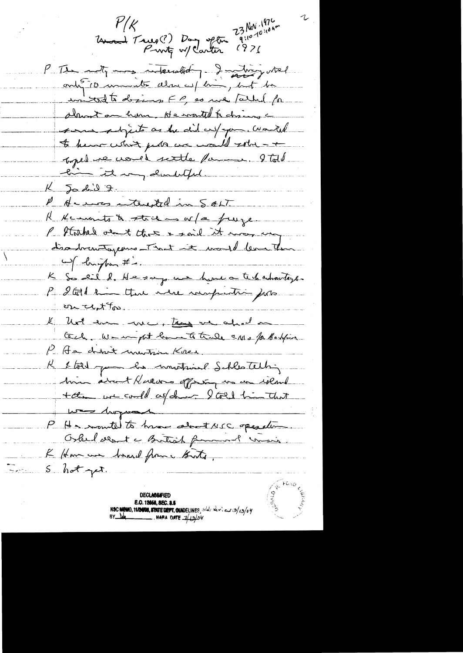23 Nov. 1976 سمياس  $\mathcal{V}/\mathcal{K}$ Unand Trues (?) Day often  $(97)$ P The noty may internated - I making what ontifico unito almajent, but to united to desires FP, so we father for almost on home, He would & chains a some shpects as he did un pour. Would to hear what puts are would solve - + topel ne could settle famme. Ital li it my doubtful.  $K$   $J_0$  did 2. P Ar was autousted in SALT R Kcononts to stack is or fa fruge. P Stathed out that & said it was ung disadventagement tout it would learn the K So dil d. He says une hune a technologie. P & God kin that vere rauprentir ports on at to. . . . . . . . K hot en ma, ton ve ahad Gel We in put low to true and patholine P. A.s. churt unwitwin Korea. K & told you has montained Schlestelling him about Knews offering in an island tal we could as de late him that was hoped P He monted to have about NSC operation. Oshelseent a Buttoch formand consis K Home was brand from thats.  $5$  hot yet. **DECLASSIFIED** 

E.O. 12058, SEC. 3.5 NSC MEMO, 11/20108, STATE DEPT, QUIDELINES, state levies of 13/13/04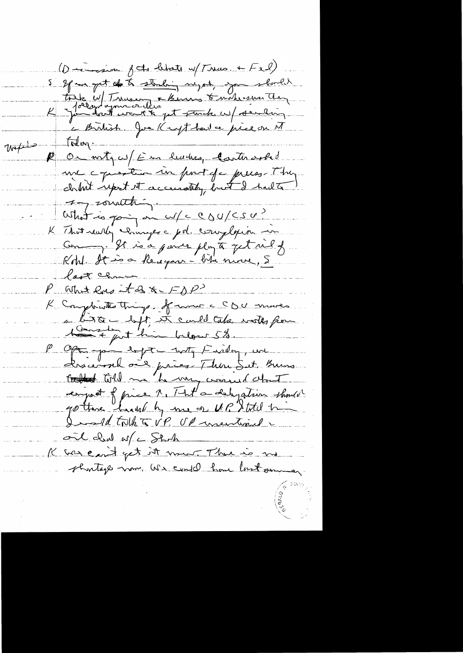(Damain fet blots u/Trus + Fel) 5 effect of to the studies myst, you should toute up Trus interne & moternander motion today. P On notges/ Em human Casterarho ure consistent un port de press The What is going in w/c CDU/CSU? K Thit willy changes a pol. complain in Kohl. It is a Recegare - like nine, 5 last chance. P what low it as  $x-F\Delta P^2$ K Comptents things. of more a CDU moves a bitter byt, it could take writes from the other below 5%. P Open jour dept - with Finder, we<br>descensel one prices There Set, Burns enjait fjring 1, That's deligation should Jottane haut by me or UP Stotel time ont chal of a Stark K was easist get it mont. There is no shortage nom. We could have last some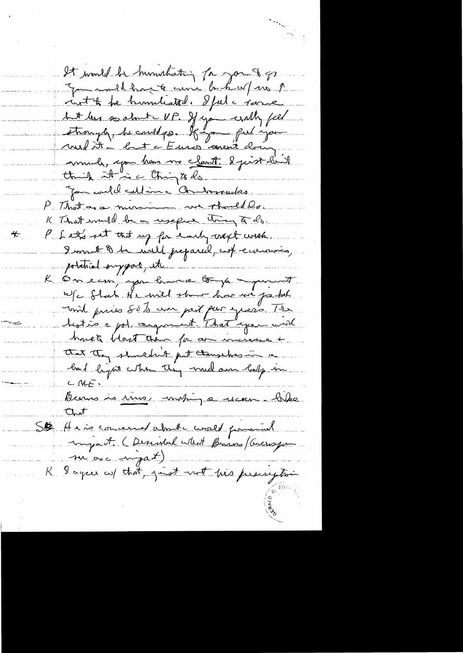It would be humatating for you to go Jammellhant une bahw/ 10 pm int & he humblated. Iful a same but les socket UP. If you willy fiel audit : let c Euros avent closing much, you han vo clarit 2 juint l'il think it is thing to do. Jan could calline Antonnailes. P. That are minimum we thould lo. K That would be a useful thing of do. P Let's set that up for each next with ≮. I want & he will preparel, cut environnes, potetriol surgeon, etc. K Onecur, you have to je april n/c flat de mil stre hui vi passel unil pries Sob era part par yours. 12 hostie a pol cargonaut. That you will homet blost than for an increase + that they shouldn't fet thousands in a bad light when they much am holy in  $C$   $M =$ Berns is time, motion a mon ble Chat SB Hais concerned about avoir poisonal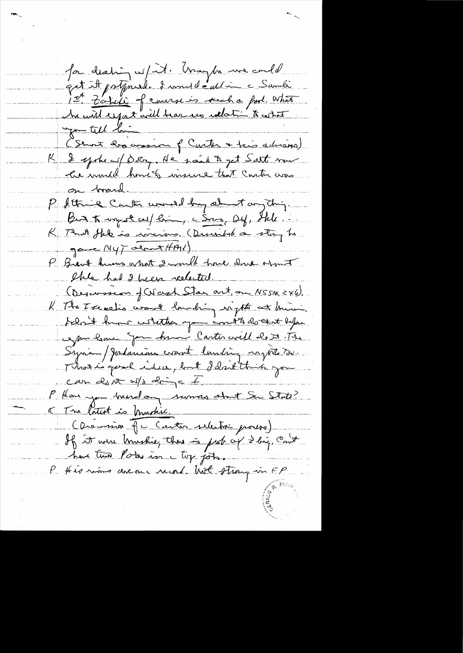for deating w/it. Maybe we could<br>get it patente d'une de allier à Sameti<br>1st Zobeli of course is sent a fort what (Stront 200 again of Carter + two deliveres) R & systems (Bobey, Ne south get Salt nous le mond hout insure that contravas on brand P Sttric Curtis would by about any drip. But to ungot we bin, com by, the K That the is incire (Divided a stay to  $\frac{9}{2}$ P Brant hums ont 2 mould have done ormit She had I been redected. (Descession of Week Star art on NSSM 246). K The I search's want lounding with at him, folait huns whether you wont to do that lapse comme Jan hum Carter crill de 71. The Syrian ) Jordanians crownt lunding nytte too. Modie pour idea, but I don't this you  $CMn$  du nt up dring =  $I$ , P Han y mindag numes about Su State? K The latest is brashiv. (Discursion que Carter sillation process) If it were trushie, there is put of 2 big, Court  $\frac{1}{\sqrt{2}}\sum_{i=1}^{n} \frac{1}{\sqrt{2}}\left(\frac{1}{\sqrt{2}}\right)^{2} \left(\frac{1}{\sqrt{2}}\right)^{2}$ have then Poles in try jobs. P this waves are one record hot strong in FP.